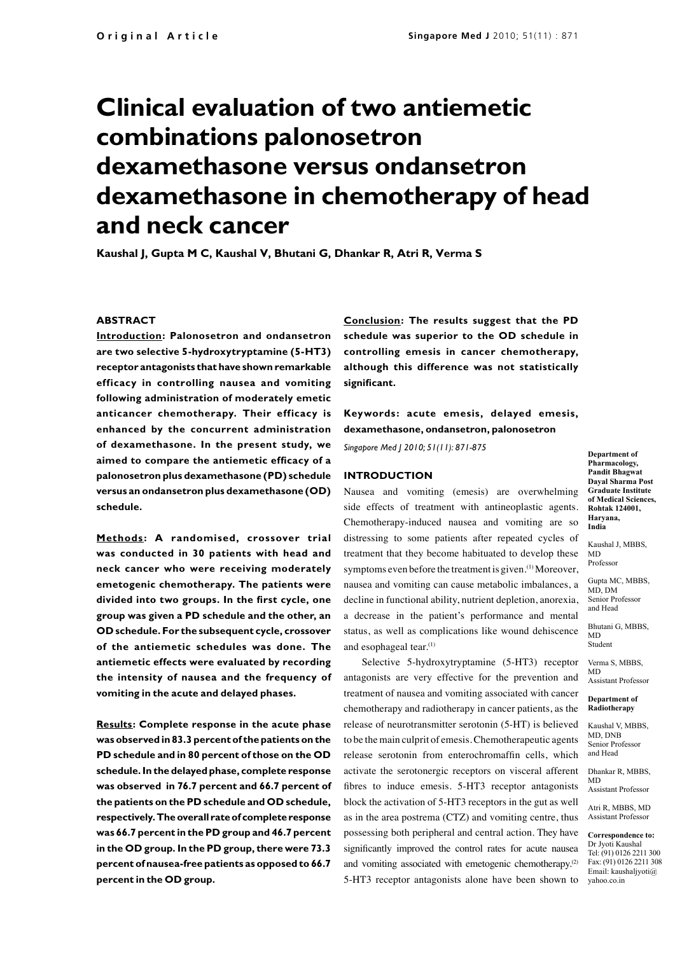# **Clinical evaluation of two antiemetic combinations palonosetron dexamethasone versus ondansetron dexamethasone in chemotherapy of head and neck cancer**

**Kaushal J, Gupta M C, Kaushal V, Bhutani G, Dhankar R, Atri R, Verma S** 

## **ABSTRACT**

**Introduction: Palonosetron and ondansetron are two selective 5-hydroxytryptamine (5-HT3) receptor antagonists that have shown remarkable efficacy in controlling nausea and vomiting following administration of moderately emetic anticancer chemotherapy. Their efficacy is enhanced by the concurrent administration of dexamethasone. In the present study, we aimed to compare the antiemetic efficacy of a palonosetron plus dexamethasone (PD) schedule versus an ondansetron plus dexamethasone (OD) schedule.**

**Methods : A randomised, crossover trial was conducted in 30 patients with head and neck cancer who were receiving moderately emetogenic chemotherapy. The patients were divided into two groups. In the first cycle, one group was given a PD schedule and the other, an OD schedule. For the subsequent cycle, crossover of the antiemetic schedules was done. The antiemetic effects were evaluated by recording the intensity of nausea and the frequency of vomiting in the acute and delayed phases.**

**Results: Complete response in the acute phase was observed in 83.3 percent of the patients on the PD schedule and in 80 percent of those on the OD schedule. In the delayed phase, complete response was observed in 76.7 percent and 66.7 percent of the patients on the PD schedule and OD schedule, respectively. The overall rate of complete response was 66.7 percent in the PD group and 46.7 percent in the OD group. In the PD group, there were 73.3 percent of nausea-free patients as opposed to 66.7 percent in the OD group.** 

**Conclusion: The results suggest that the PD schedule was superior to the OD schedule in controlling emesis in cancer chemotherapy, although this difference was not statistically significant.**

**Keywords: acute emesis, delayed emesis, dexamethasone, ondansetron, palonosetron** 

*Singapore Med J 2010; 51(11): 871-875*

## **INTRODUCTION**

Nausea and vomiting (emesis) are overwhelming side effects of treatment with antineoplastic agents. Chemotherapy-induced nausea and vomiting are so distressing to some patients after repeated cycles of treatment that they become habituated to develop these symptoms even before the treatment is given.(1) Moreover, nausea and vomiting can cause metabolic imbalances, a decline in functional ability, nutrient depletion, anorexia, a decrease in the patient's performance and mental status, as well as complications like wound dehiscence and esophageal tear.(1)

Selective 5-hydroxytryptamine (5-HT3) receptor antagonists are very effective for the prevention and treatment of nausea and vomiting associated with cancer chemotherapy and radiotherapy in cancer patients, as the release of neurotransmitter serotonin (5-HT) is believed to be the main culprit of emesis. Chemotherapeutic agents release serotonin from enterochromaffin cells, which activate the serotonergic receptors on visceral afferent fibres to induce emesis. 5-HT3 receptor antagonists block the activation of 5-HT3 receptors in the gut as well as in the area postrema (CTZ) and vomiting centre, thus possessing both peripheral and central action. They have significantly improved the control rates for acute nausea and vomiting associated with emetogenic chemotherapy.<sup>(2)</sup> 5-HT3 receptor antagonists alone have been shown to **Department of Pharmacology, Pandit Bhagwat Dayal Sharma Post Graduate Institute of Medical Sciences, Rohtak 124001, Haryana, India**

Kaushal J, MBBS, MD Professor

Gupta MC, MBBS, MD, DM Senior Professor and Head

Bhutani G, MBBS, MD Student

Verma S, MBBS, MD Assistant Professor

**Department of** 

**Radiotherapy**

Kaushal V, MBBS, MD, DNB Senior Professor and Head

Dhankar R, MBBS, MD Assistant Professor

Atri R, MBBS, MD Assistant Professor

**Correspondence to:** Dr Jyoti Kaushal Tel: (91) 0126 2211 300 Fax: (91) 0126 2211 308 Email: kaushaljyoti@ yahoo.co.in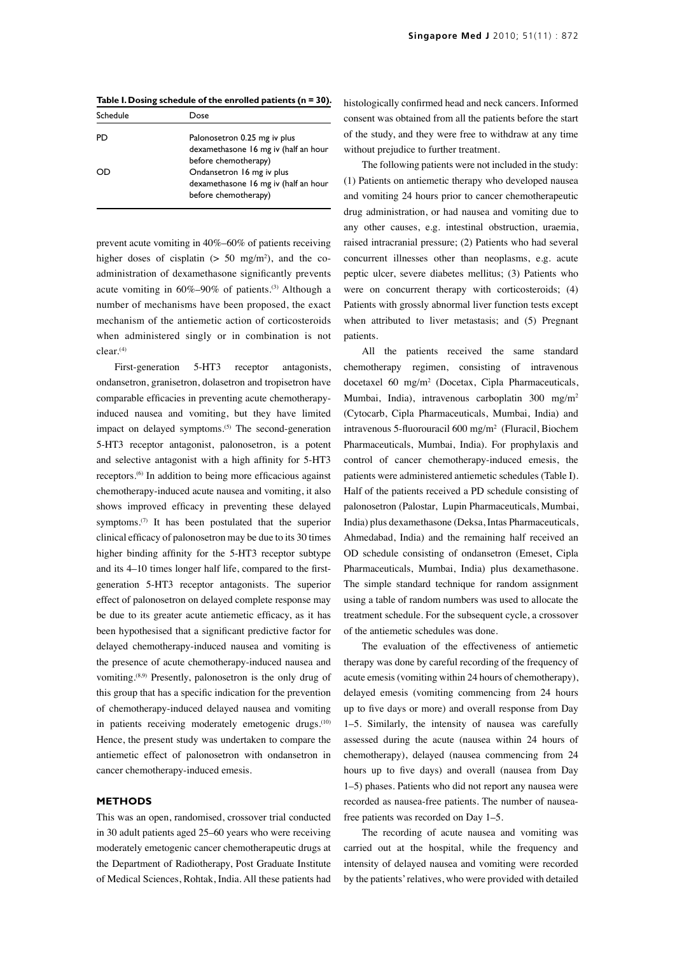| Schedule | Dose                                 |
|----------|--------------------------------------|
| PD       | Palonosetron 0.25 mg iv plus         |
|          | dexamethasone 16 mg iv (half an hour |
|          | before chemotherapy)                 |
|          | Ondansetron 16 mg iv plus            |
|          | dexamethasone 16 mg iv (half an hour |
|          | before chemotherapy)                 |
|          |                                      |

**Table I. Dosing schedule of the enrolled patients (n = 30).** histologically confirmed head and neck cancers. Informed

prevent acute vomiting in 40%–60% of patients receiving higher doses of cisplatin  $(> 50 \text{ mg/m}^2)$ , and the coadministration of dexamethasone significantly prevents acute vomiting in 60%–90% of patients.<sup>(3)</sup> Although a number of mechanisms have been proposed, the exact mechanism of the antiemetic action of corticosteroids when administered singly or in combination is not clear.<sup>(4)</sup>

First-generation 5-HT3 receptor antagonists, ondansetron, granisetron, dolasetron and tropisetron have comparable efficacies in preventing acute chemotherapyinduced nausea and vomiting, but they have limited impact on delayed symptoms.<sup>(5)</sup> The second-generation 5-HT3 receptor antagonist, palonosetron, is a potent and selective antagonist with a high affinity for 5-HT3 receptors.(6) In addition to being more efficacious against chemotherapy-induced acute nausea and vomiting, it also shows improved efficacy in preventing these delayed symptoms.<sup>(7)</sup> It has been postulated that the superior clinical efficacy of palonosetron may be due to its 30 times higher binding affinity for the 5-HT3 receptor subtype and its 4–10 times longer half life, compared to the firstgeneration 5-HT3 receptor antagonists. The superior effect of palonosetron on delayed complete response may be due to its greater acute antiemetic efficacy, as it has been hypothesised that a significant predictive factor for delayed chemotherapy-induced nausea and vomiting is the presence of acute chemotherapy-induced nausea and vomiting.(8,9) Presently, palonosetron is the only drug of this group that has a specific indication for the prevention of chemotherapy-induced delayed nausea and vomiting in patients receiving moderately emetogenic drugs.<sup>(10)</sup> Hence, the present study was undertaken to compare the antiemetic effect of palonosetron with ondansetron in cancer chemotherapy-induced emesis.

## **METHODS**

This was an open, randomised, crossover trial conducted in 30 adult patients aged 25–60 years who were receiving moderately emetogenic cancer chemotherapeutic drugs at the Department of Radiotherapy, Post Graduate Institute of Medical Sciences, Rohtak, India. All these patients had consent was obtained from all the patients before the start of the study, and they were free to withdraw at any time without prejudice to further treatment.

The following patients were not included in the study: (1) Patients on antiemetic therapy who developed nausea and vomiting 24 hours prior to cancer chemotherapeutic drug administration, or had nausea and vomiting due to any other causes, e.g. intestinal obstruction, uraemia, raised intracranial pressure; (2) Patients who had several concurrent illnesses other than neoplasms, e.g. acute peptic ulcer, severe diabetes mellitus; (3) Patients who were on concurrent therapy with corticosteroids; (4) Patients with grossly abnormal liver function tests except when attributed to liver metastasis; and (5) Pregnant patients.

All the patients received the same standard chemotherapy regimen, consisting of intravenous docetaxel 60 mg/m2 (Docetax, Cipla Pharmaceuticals, Mumbai, India), intravenous carboplatin 300 mg/m<sup>2</sup> (Cytocarb, Cipla Pharmaceuticals, Mumbai, India) and intravenous 5-fluorouracil 600 mg/m<sup>2</sup> (Fluracil, Biochem Pharmaceuticals, Mumbai, India). For prophylaxis and control of cancer chemotherapy-induced emesis, the patients were administered antiemetic schedules (Table I). Half of the patients received a PD schedule consisting of palonosetron (Palostar, Lupin Pharmaceuticals, Mumbai, India) plus dexamethasone (Deksa, Intas Pharmaceuticals, Ahmedabad, India) and the remaining half received an OD schedule consisting of ondansetron (Emeset, Cipla Pharmaceuticals, Mumbai, India) plus dexamethasone. The simple standard technique for random assignment using a table of random numbers was used to allocate the treatment schedule. For the subsequent cycle, a crossover of the antiemetic schedules was done.

The evaluation of the effectiveness of antiemetic therapy was done by careful recording of the frequency of acute emesis (vomiting within 24 hours of chemotherapy), delayed emesis (vomiting commencing from 24 hours up to five days or more) and overall response from Day 1–5. Similarly, the intensity of nausea was carefully assessed during the acute (nausea within 24 hours of chemotherapy), delayed (nausea commencing from 24 hours up to five days) and overall (nausea from Day 1–5) phases. Patients who did not report any nausea were recorded as nausea-free patients. The number of nauseafree patients was recorded on Day 1–5.

The recording of acute nausea and vomiting was carried out at the hospital, while the frequency and intensity of delayed nausea and vomiting were recorded by the patients' relatives, who were provided with detailed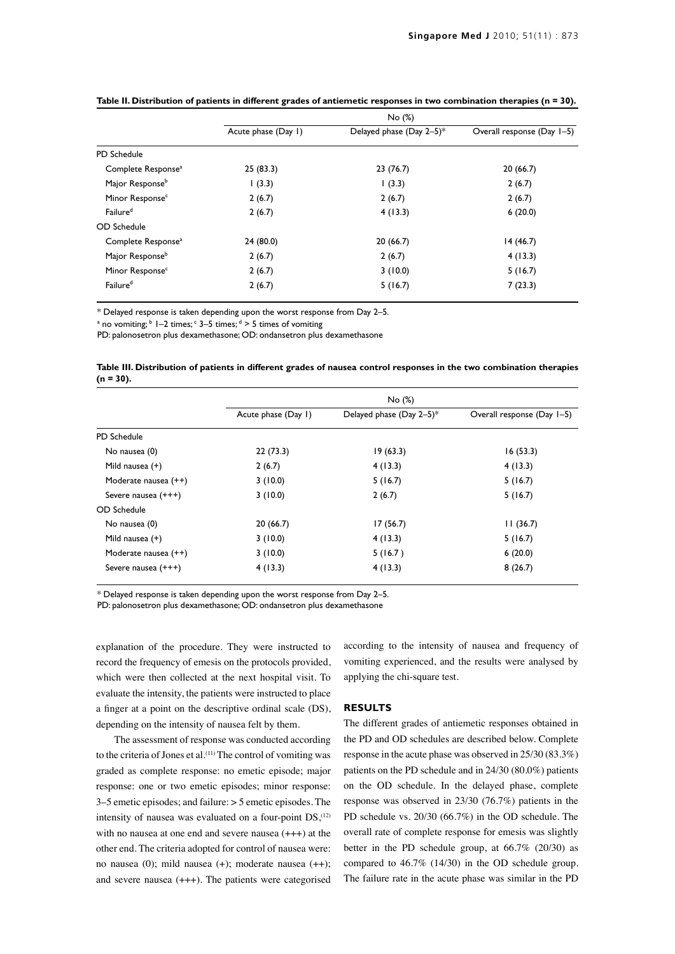|                                | No (%)              |                             |                            |  |
|--------------------------------|---------------------|-----------------------------|----------------------------|--|
|                                | Acute phase (Day 1) | Delayed phase (Day $2-5$ )* | Overall response (Day 1-5) |  |
| PD Schedule                    |                     |                             |                            |  |
| Complete Response <sup>a</sup> | 25(83.3)            | 23(76.7)                    | 20(66.7)                   |  |
| Major Response <sup>b</sup>    | (3.3)               | 1(3.3)                      | 2(6.7)                     |  |
| Minor Response <sup>c</sup>    | 2(6.7)              | 2(6.7)                      | 2(6.7)                     |  |
| Failure <sup>d</sup>           | 2(6.7)              | 4(13.3)                     | 6(20.0)                    |  |
| OD Schedule                    |                     |                             |                            |  |
| Complete Response <sup>a</sup> | 24(80.0)            | 20 (66.7)                   | 14(46.7)                   |  |
| Major Response <sup>b</sup>    | 2(6.7)              | 2(6.7)                      | 4(13.3)                    |  |
| Minor Response <sup>c</sup>    | 2(6.7)              | 3(10.0)                     | 5(16.7)                    |  |
| Failure <sup>d</sup>           | 2(6.7)              | 5(16.7)                     | 7(23.3)                    |  |

#### **Table II. Distribution of patients in different grades of antiemetic responses in two combination therapies (n = 30).**

\* Delayed response is taken depending upon the worst response from Day 2–5.

 $^{\rm a}$  no vomiting;  $^{\rm b}$  1–2 times;  $^{\rm c}$  3–5 times;  $^{\rm d}$  > 5 times of vomiting

PD: palonosetron plus dexamethasone; OD: ondansetron plus dexamethasone

**Table III. Distribution of patients in different grades of nausea control responses in the two combination therapies (n = 30).**

|                      | No (%)              |                             |                            |  |
|----------------------|---------------------|-----------------------------|----------------------------|--|
|                      | Acute phase (Day 1) | Delayed phase (Day $2-5$ )* | Overall response (Day 1-5) |  |
| PD Schedule          |                     |                             |                            |  |
| No nausea (0)        | 22(73.3)            | 19(63.3)                    | 16(53.3)                   |  |
| Mild nausea (+)      | 2(6.7)              | 4(13.3)                     | 4(13.3)                    |  |
| Moderate nausea (++) | 3(10.0)             | 5(16.7)                     | 5(16.7)                    |  |
| Severe nausea (+++)  | 3(10.0)             | 2(6.7)                      | 5(16.7)                    |  |
| OD Schedule          |                     |                             |                            |  |
| No nausea (0)        | 20(66.7)            | 17(56.7)                    | 11(36.7)                   |  |
| Mild nausea (+)      | 3(10.0)             | 4(13.3)                     | 5(16.7)                    |  |
| Moderate nausea (++) | 3(10.0)             | 5(16.7)                     | 6(20.0)                    |  |
| Severe nausea (+++)  | 4(13.3)             | 4(13.3)                     | 8(26.7)                    |  |

\* Delayed response is taken depending upon the worst response from Day 2–5.

PD: palonosetron plus dexamethasone; OD: ondansetron plus dexamethasone

explanation of the procedure. They were instructed to record the frequency of emesis on the protocols provided, which were then collected at the next hospital visit. To evaluate the intensity, the patients were instructed to place a finger at a point on the descriptive ordinal scale (DS), depending on the intensity of nausea felt by them.

The assessment of response was conducted according to the criteria of Jones et al.<sup>(11)</sup> The control of vomiting was graded as complete response: no emetic episode; major response: one or two emetic episodes; minor response: 3–5 emetic episodes; and failure: > 5 emetic episodes. The intensity of nausea was evaluated on a four-point  $DS<sub>1</sub>(12)$ with no nausea at one end and severe nausea (+++) at the other end. The criteria adopted for control of nausea were: no nausea (0); mild nausea (+); moderate nausea (++); and severe nausea (+++). The patients were categorised

according to the intensity of nausea and frequency of vomiting experienced, and the results were analysed by applying the chi-square test.

## **RESULTS**

The different grades of antiemetic responses obtained in the PD and OD schedules are described below. Complete response in the acute phase was observed in 25/30 (83.3%) patients on the PD schedule and in 24/30 (80.0%) patients on the OD schedule. In the delayed phase, complete response was observed in 23/30 (76.7%) patients in the PD schedule vs. 20/30 (66.7%) in the OD schedule. The overall rate of complete response for emesis was slightly better in the PD schedule group, at 66.7% (20/30) as compared to 46.7% (14/30) in the OD schedule group. The failure rate in the acute phase was similar in the PD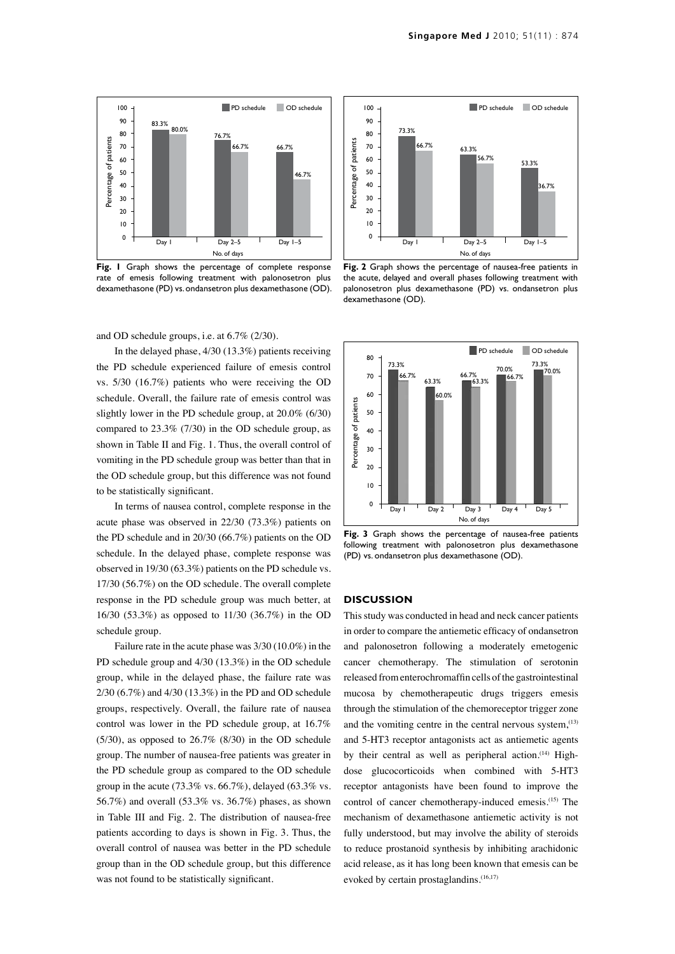

**Fig. 1** Graph shows the percentage of complete response rate of emesis following treatment with palonosetron plus dexamethasone (PD) vs. ondansetron plus dexamethasone (OD).

and OD schedule groups, i.e. at 6.7% (2/30).

In the delayed phase, 4/30 (13.3%) patients receiving the PD schedule experienced failure of emesis control vs. 5/30 (16.7%) patients who were receiving the OD schedule. Overall, the failure rate of emesis control was slightly lower in the PD schedule group, at 20.0% (6/30) compared to 23.3% (7/30) in the OD schedule group, as shown in Table II and Fig. 1. Thus, the overall control of vomiting in the PD schedule group was better than that in the OD schedule group, but this difference was not found to be statistically significant.

In terms of nausea control, complete response in the acute phase was observed in 22/30 (73.3%) patients on the PD schedule and in 20/30 (66.7%) patients on the OD schedule. In the delayed phase, complete response was observed in 19/30 (63.3%) patients on the PD schedule vs. 17/30 (56.7%) on the OD schedule. The overall complete response in the PD schedule group was much better, at 16/30 (53.3%) as opposed to 11/30 (36.7%) in the OD schedule group.

Failure rate in the acute phase was 3/30 (10.0%) in the PD schedule group and 4/30 (13.3%) in the OD schedule group, while in the delayed phase, the failure rate was 2/30 (6.7%) and 4/30 (13.3%) in the PD and OD schedule groups, respectively. Overall, the failure rate of nausea control was lower in the PD schedule group, at 16.7%  $(5/30)$ , as opposed to  $26.7\%$   $(8/30)$  in the OD schedule group. The number of nausea-free patients was greater in the PD schedule group as compared to the OD schedule group in the acute (73.3% vs. 66.7%), delayed (63.3% vs. 56.7%) and overall (53.3% vs. 36.7%) phases, as shown in Table III and Fig. 2. The distribution of nausea-free patients according to days is shown in Fig. 3. Thus, the overall control of nausea was better in the PD schedule group than in the OD schedule group, but this difference was not found to be statistically significant.



**Fig. 2** Graph shows the percentage of nausea-free patients in the acute, delayed and overall phases following treatment with palonosetron plus dexamethasone (PD) vs. ondansetron plus dexamethasone (OD).



**Fig. 3** Graph shows the percentage of nausea-free patients following treatment with palonosetron plus dexamethasone (PD) vs. ondansetron plus dexamethasone (OD).

## **DISCUSSION**

This study was conducted in head and neck cancer patients in order to compare the antiemetic efficacy of ondansetron and palonosetron following a moderately emetogenic cancer chemotherapy. The stimulation of serotonin released from enterochromaffin cells of the gastrointestinal mucosa by chemotherapeutic drugs triggers emesis through the stimulation of the chemoreceptor trigger zone and the vomiting centre in the central nervous system, $(13)$ and 5-HT3 receptor antagonists act as antiemetic agents by their central as well as peripheral action.<sup>(14)</sup> Highdose glucocorticoids when combined with 5-HT3 receptor antagonists have been found to improve the control of cancer chemotherapy-induced emesis.<sup>(15)</sup> The mechanism of dexamethasone antiemetic activity is not fully understood, but may involve the ability of steroids to reduce prostanoid synthesis by inhibiting arachidonic acid release, as it has long been known that emesis can be evoked by certain prostaglandins.<sup>(16,17)</sup>